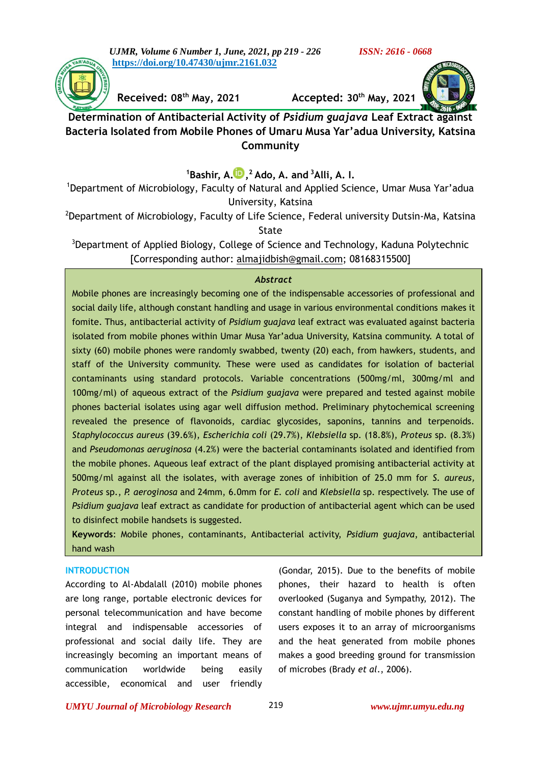*UJMR, Volume 6 Number 1, June, 2021, pp 219 - 226 ISSN: 2616 - 0668* **[https://doi.org/10.47430/ujmr.2161.032](https://doi.org/10.47430/ujmr.2052.001)**



**Received: 08th May, 2021 Accepted: 30th May, 2021**



**Determination of Antibacterial Activity of** *Psidium guajava* **Leaf Extract against Bacteria Isolated from Mobile Phones of Umaru Musa Yar'adua University, Katsina Community**

**<sup>1</sup>Bashir, A[.](https://orcid.org/0000-0001-8616-6615) , <sup>2</sup>Ado, A. and <sup>3</sup>Alli, A. I.**

<sup>1</sup>Department of Microbiology, Faculty of Natural and Applied Science, Umar Musa Yar'adua University, Katsina

<sup>2</sup>Department of Microbiology, Faculty of Life Science, Federal university Dutsin-Ma, Katsina State

<sup>3</sup>Department of Applied Biology, College of Science and Technology, Kaduna Polytechnic [Corresponding author: [almajidbish@gmail.com;](mailto:almajidbish@gmail.com) 08168315500]

## *Abstract*

Mobile phones are increasingly becoming one of the indispensable accessories of professional and social daily life, although constant handling and usage in various environmental conditions makes it fomite. Thus, antibacterial activity of *Psidium guajava* leaf extract was evaluated against bacteria isolated from mobile phones within Umar Musa Yar'adua University, Katsina community. A total of sixty (60) mobile phones were randomly swabbed, twenty (20) each, from hawkers, students, and staff of the University community. These were used as candidates for isolation of bacterial contaminants using standard protocols. Variable concentrations (500mg/ml, 300mg/ml and 100mg/ml) of aqueous extract of the *Psidium guajava* were prepared and tested against mobile phones bacterial isolates using agar well diffusion method. Preliminary phytochemical screening revealed the presence of flavonoids, cardiac glycosides, saponins, tannins and terpenoids. *Staphylococcus aureus* (39.6%), *Escherichia coli* (29.7%), *Klebsiella* sp. (18.8%), *Proteus* sp. (8.3%) and *Pseudomonas aeruginosa* (4.2%) were the bacterial contaminants isolated and identified from the mobile phones. Aqueous leaf extract of the plant displayed promising antibacterial activity at 500mg/ml against all the isolates, with average zones of inhibition of 25.0 mm for *S. aureus, Proteus* sp., *P. aeroginosa* and 24mm, 6.0mm for *E. coli* and *Klebsiella* sp. respectively. The use of *Psidium guajava* leaf extract as candidate for production of antibacterial agent which can be used to disinfect mobile handsets is suggested.

**Keywords**: Mobile phones, contaminants, Antibacterial activity, *Psidium guajava*, antibacterial hand wash

## **INTRODUCTION**

According to Al-Abdalall (2010) mobile phones are long range, portable electronic devices for personal telecommunication and have become integral and indispensable accessories of professional and social daily life. They are increasingly becoming an important means of communication worldwide being easily accessible, economical and user friendly

(Gondar, 2015). Due to the benefits of mobile phones, their hazard to health is often overlooked (Suganya and Sympathy, 2012). The constant handling of mobile phones by different users exposes it to an array of microorganisms and the heat generated from mobile phones makes a good breeding ground for transmission of microbes (Brady *et al*., 2006).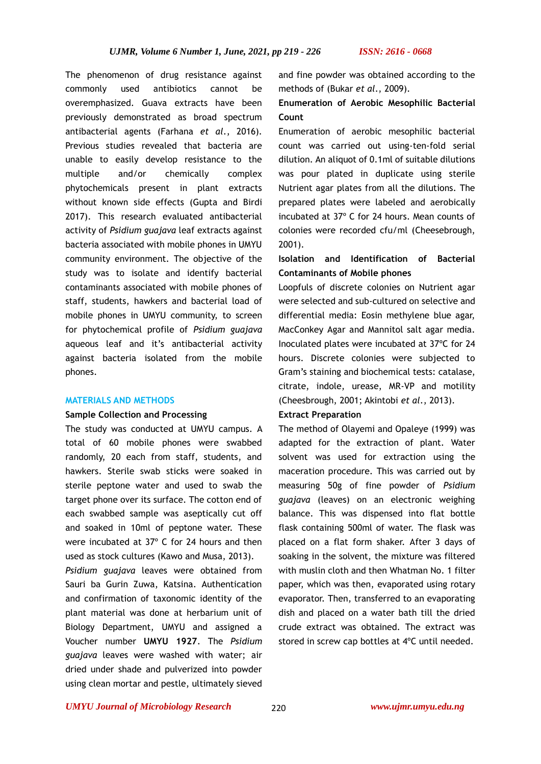The phenomenon of drug resistance against commonly used antibiotics cannot be overemphasized. Guava extracts have been previously demonstrated as broad spectrum antibacterial agents (Farhana *et al*., 2016). Previous studies revealed that bacteria are unable to easily develop resistance to the multiple and/or chemically complex phytochemicals present in plant extracts without known side effects (Gupta and Birdi 2017). This research evaluated antibacterial activity of *Psidium guajava* leaf extracts against bacteria associated with mobile phones in UMYU community environment. The objective of the study was to isolate and identify bacterial contaminants associated with mobile phones of staff, students, hawkers and bacterial load of mobile phones in UMYU community, to screen for phytochemical profile of *Psidium guajava* aqueous leaf and it's antibacterial activity against bacteria isolated from the mobile phones.

## **MATERIALS AND METHODS**

## **Sample Collection and Processing**

The study was conducted at UMYU campus. A total of 60 mobile phones were swabbed randomly, 20 each from staff, students, and hawkers. Sterile swab sticks were soaked in sterile peptone water and used to swab the target phone over its surface. The cotton end of each swabbed sample was aseptically cut off and soaked in 10ml of peptone water. These were incubated at 37º C for 24 hours and then used as stock cultures (Kawo and Musa, 2013).

*Psidium guajava* leaves were obtained from Sauri ba Gurin Zuwa, Katsina. Authentication and confirmation of taxonomic identity of the plant material was done at herbarium unit of Biology Department, UMYU and assigned a Voucher number **UMYU 1927**. The *Psidium guajava* leaves were washed with water; air dried under shade and pulverized into powder using clean mortar and pestle, ultimately sieved and fine powder was obtained according to the methods of (Bukar *et al*., 2009).

# **Enumeration of Aerobic Mesophilic Bacterial Count**

Enumeration of aerobic mesophilic bacterial count was carried out using-ten-fold serial dilution. An aliquot of 0.1ml of suitable dilutions was pour plated in duplicate using sterile Nutrient agar plates from all the dilutions. The prepared plates were labeled and aerobically incubated at 37º C for 24 hours. Mean counts of colonies were recorded cfu/ml (Cheesebrough, 2001).

# **Isolation and Identification of Bacterial Contaminants of Mobile phones**

Loopfuls of discrete colonies on Nutrient agar were selected and sub-cultured on selective and differential media: Eosin methylene blue agar, MacConkey Agar and Mannitol salt agar media. Inoculated plates were incubated at 37ºC for 24 hours. Discrete colonies were subjected to Gram's staining and biochemical tests: catalase, citrate, indole, urease, MR-VP and motility (Cheesbrough, 2001; Akintobi *et al*., 2013).

## **Extract Preparation**

The method of Olayemi and Opaleye (1999) was adapted for the extraction of plant. Water solvent was used for extraction using the maceration procedure. This was carried out by measuring 50g of fine powder of *Psidium guajava* (leaves) on an electronic weighing balance. This was dispensed into flat bottle flask containing 500ml of water. The flask was placed on a flat form shaker. After 3 days of soaking in the solvent, the mixture was filtered with muslin cloth and then Whatman No. 1 filter paper, which was then, evaporated using rotary evaporator. Then, transferred to an evaporating dish and placed on a water bath till the dried crude extract was obtained. The extract was stored in screw cap bottles at 4ºC until needed.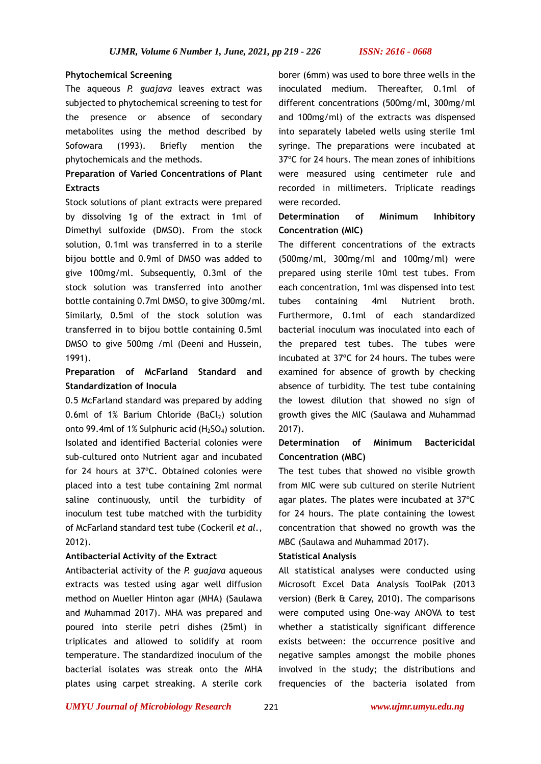## **Phytochemical Screening**

The aqueous *P. guajava* leaves extract was subjected to phytochemical screening to test for the presence or absence of secondary metabolites using the method described by Sofowara (1993). Briefly mention the phytochemicals and the methods.

# **Preparation of Varied Concentrations of Plant Extracts**

Stock solutions of plant extracts were prepared by dissolving 1g of the extract in 1ml of Dimethyl sulfoxide (DMSO). From the stock solution, 0.1ml was transferred in to a sterile bijou bottle and 0.9ml of DMSO was added to give 100mg/ml. Subsequently, 0.3ml of the stock solution was transferred into another bottle containing 0.7ml DMSO, to give 300mg/ml. Similarly, 0.5ml of the stock solution was transferred in to bijou bottle containing 0.5ml DMSO to give 500mg /ml (Deeni and Hussein, 1991).

# **Preparation of McFarland Standard and Standardization of Inocula**

0.5 McFarland standard was prepared by adding 0.6ml of 1% Barium Chloride  $(BaCl<sub>2</sub>)$  solution onto 99.4ml of 1% Sulphuric acid  $(H<sub>2</sub>SO<sub>4</sub>)$  solution. Isolated and identified Bacterial colonies were sub-cultured onto Nutrient agar and incubated for 24 hours at 37ºC. Obtained colonies were placed into a test tube containing 2ml normal saline continuously, until the turbidity of inoculum test tube matched with the turbidity of McFarland standard test tube (Cockeril *et al*., 2012).

## **Antibacterial Activity of the Extract**

Antibacterial activity of the *P. guajava* aqueous extracts was tested using agar well diffusion method on Mueller Hinton agar (MHA) (Saulawa and Muhammad 2017). MHA was prepared and poured into sterile petri dishes (25ml) in triplicates and allowed to solidify at room temperature. The standardized inoculum of the bacterial isolates was streak onto the MHA plates using carpet streaking. A sterile cork

borer (6mm) was used to bore three wells in the inoculated medium. Thereafter, 0.1ml of different concentrations (500mg/ml, 300mg/ml and 100mg/ml) of the extracts was dispensed into separately labeled wells using sterile 1ml syringe. The preparations were incubated at 37ºC for 24 hours. The mean zones of inhibitions were measured using centimeter rule and recorded in millimeters. Triplicate readings were recorded.

## **Determination of Minimum Inhibitory Concentration (MIC)**

The different concentrations of the extracts (500mg/ml, 300mg/ml and 100mg/ml) were prepared using sterile 10ml test tubes. From each concentration, 1ml was dispensed into test tubes containing 4ml Nutrient broth. Furthermore, 0.1ml of each standardized bacterial inoculum was inoculated into each of the prepared test tubes. The tubes were incubated at 37ºC for 24 hours. The tubes were examined for absence of growth by checking absence of turbidity. The test tube containing the lowest dilution that showed no sign of growth gives the MIC (Saulawa and Muhammad 2017).

# **Determination of Minimum Bactericidal Concentration (MBC)**

The test tubes that showed no visible growth from MIC were sub cultured on sterile Nutrient agar plates. The plates were incubated at 37ºC for 24 hours. The plate containing the lowest concentration that showed no growth was the MBC (Saulawa and Muhammad 2017).

## **Statistical Analysis**

All statistical analyses were conducted using Microsoft Excel Data Analysis ToolPak (2013 version) (Berk & Carey, 2010). The comparisons were computed using One-way ANOVA to test whether a statistically significant difference exists between: the occurrence positive and negative samples amongst the mobile phones involved in the study; the distributions and frequencies of the bacteria isolated from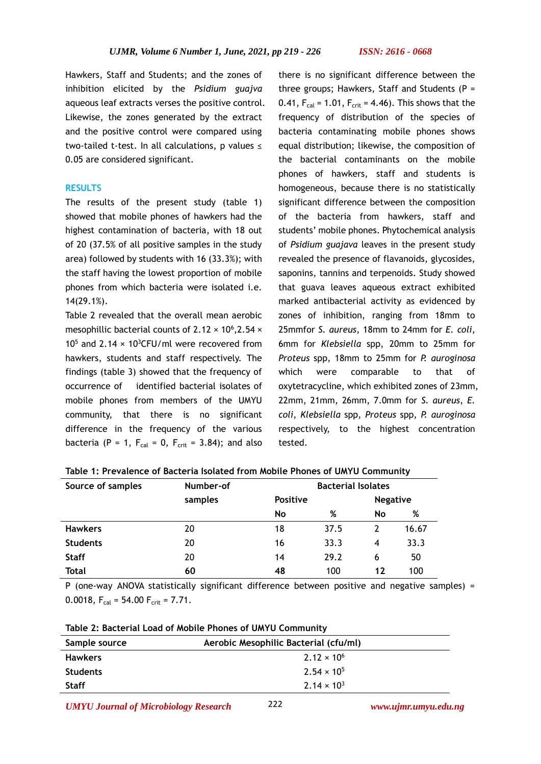Hawkers, Staff and Students; and the zones of inhibition elicited by the *Psidium guajva* aqueous leaf extracts verses the positive control. Likewise, the zones generated by the extract and the positive control were compared using two-tailed t-test. In all calculations, p values ≤ 0.05 are considered significant.

### **RESULTS**

The results of the present study (table 1) showed that mobile phones of hawkers had the highest contamination of bacteria, with 18 out of 20 (37.5% of all positive samples in the study area) followed by students with 16 (33.3%); with the staff having the lowest proportion of mobile phones from which bacteria were isolated i.e. 14(29.1%).

Table 2 revealed that the overall mean aerobic mesophillic bacterial counts of  $2.12 \times 10^6$ , 2.54  $\times$ 10<sup>5</sup> and 2.14  $\times$  10<sup>3</sup>CFU/ml were recovered from hawkers, students and staff respectively. The findings (table 3) showed that the frequency of occurrence of identified bacterial isolates of mobile phones from members of the UMYU community, that there is no significant difference in the frequency of the various bacteria (P = 1,  $F_{cal}$  = 0,  $F_{crit}$  = 3.84); and also

there is no significant difference between the three groups; Hawkers, Staff and Students  $(P =$ 0.41,  $F_{cal}$  = 1.01,  $F_{crit}$  = 4.46). This shows that the frequency of distribution of the species of bacteria contaminating mobile phones shows equal distribution; likewise, the composition of the bacterial contaminants on the mobile phones of hawkers, staff and students is homogeneous, because there is no statistically significant difference between the composition of the bacteria from hawkers, staff and students' mobile phones. Phytochemical analysis of *Psidium guajava* leaves in the present study revealed the presence of flavanoids, glycosides, saponins, tannins and terpenoids. Study showed that guava leaves aqueous extract exhibited marked antibacterial activity as evidenced by zones of inhibition, ranging from 18mm to 25mmfor *S. aureus*, 18mm to 24mm for *E. coli*, 6mm for *Klebsiella* spp, 20mm to 25mm for *Proteus* spp, 18mm to 25mm for *P. auroginosa* which were comparable to that of oxytetracycline, which exhibited zones of 23mm, 22mm, 21mm, 26mm, 7.0mm for *S. aureus*, *E. coli*, *Klebsiella* spp, *Proteus* spp, *P. auroginosa* respectively, to the highest concentration tested.

| Source of samples | Number-of |                 | <b>Bacterial Isolates</b> |                 |       |  |
|-------------------|-----------|-----------------|---------------------------|-----------------|-------|--|
|                   | samples   | <b>Positive</b> |                           | <b>Negative</b> |       |  |
|                   |           | No              | %                         | No              | %     |  |
| <b>Hawkers</b>    | 20        | 18              | 37.5                      | 2               | 16.67 |  |
| <b>Students</b>   | 20        | 16              | 33.3                      | 4               | 33.3  |  |
| <b>Staff</b>      | 20        | 14              | 29.2                      | 6               | 50    |  |
| Total             | 60        | 48              | 100                       | 12              | 100   |  |

**Table 1: Prevalence of Bacteria Isolated from Mobile Phones of UMYU Community**

P (one-way ANOVA statistically significant difference between positive and negative samples) = 0.0018,  $F_{cal} = 54.00 F_{crit} = 7.71$ .

| Sample source   | Aerobic Mesophilic Bacterial (cfu/ml) |  |  |
|-----------------|---------------------------------------|--|--|
| <b>Hawkers</b>  | $2.12 \times 10^{6}$                  |  |  |
| <b>Students</b> | $2.54 \times 10^{5}$                  |  |  |
| <b>Staff</b>    | $2.14 \times 10^{3}$                  |  |  |

*UMYU Journal of Microbiology Research www.ujmr.umyu.edu.ng*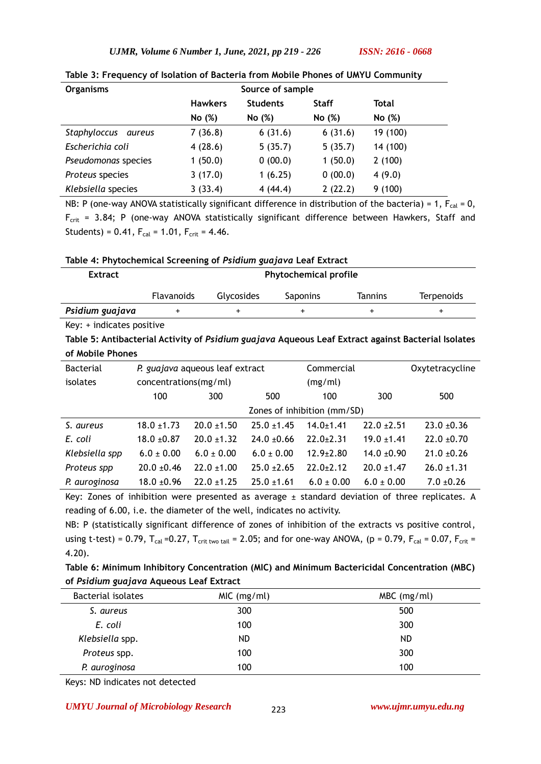*UJMR, Volume 6 Number 1, June, 2021, pp 219 - 226 ISSN: 2616 - 0668*

| <b>Organisms</b>       | Source of sample                                  |         |              |          |
|------------------------|---------------------------------------------------|---------|--------------|----------|
|                        | <b>Students</b><br><b>Staff</b><br><b>Hawkers</b> |         | <b>Total</b> |          |
|                        | No (%)                                            | No (%)  | No (%)       | No (%)   |
| Staphyloccus<br>aureus | 7(36.8)                                           | 6(31.6) | 6(31.6)      | 19 (100) |
| Escherichia coli       | 4(28.6)                                           | 5(35.7) | 5(35.7)      | 14 (100) |
| Pseudomonas species    | 1(50.0)                                           | 0(00.0) | 1(50.0)      | 2(100)   |
| Proteus species        | 3(17.0)                                           | 1(6.25) | 0(00.0)      | 4(9.0)   |
| Klebsiella species     | 3(33.4)                                           | 4(44.4) | 2(22.2)      | 9(100)   |

|  |  |  |  | Table 3: Frequency of Isolation of Bacteria from Mobile Phones of UMYU Community |
|--|--|--|--|----------------------------------------------------------------------------------|
|--|--|--|--|----------------------------------------------------------------------------------|

NB: P (one-way ANOVA statistically significant difference in distribution of the bacteria) = 1,  $F_{cal} = 0$ ,  $F_{\text{crit}}$  = 3.84; P (one-way ANOVA statistically significant difference between Hawkers, Staff and Students) =  $0.41$ ,  $F_{cal}$  = 1.01,  $F_{crit}$  = 4.46.

|  |  | Table 4: Phytochemical Screening of Psidium guajava Leaf Extract |
|--|--|------------------------------------------------------------------|
|  |  |                                                                  |

| <b>Extract</b>  | <b>Phytochemical profile</b> |                   |                 |                |                   |
|-----------------|------------------------------|-------------------|-----------------|----------------|-------------------|
|                 | <b>Flavanoids</b>            | <b>Glycosides</b> | <b>Saponins</b> | <b>Tannins</b> | <b>Terpenoids</b> |
| Psidium guajava |                              |                   |                 |                |                   |

Key: + indicates positive

**Table 5: Antibacterial Activity of** *Psidium guajava* **Aqueous Leaf Extract against Bacterial Isolates of Mobile Phones** 

| <b>Bacterial</b> |                             | P. guajava aqueous leaf extract |                 | Commercial      |                 | Oxytetracycline |
|------------------|-----------------------------|---------------------------------|-----------------|-----------------|-----------------|-----------------|
| isolates         | concentrations(mg/ml)       |                                 | (mg/ml)         |                 |                 |                 |
|                  | 100                         | 300                             | 500             | 100             | 300             | 500             |
|                  | Zones of inhibition (mm/SD) |                                 |                 |                 |                 |                 |
| S. aureus        | $18.0 \pm 1.73$             | $20.0 \pm 1.50$                 | $25.0 + 1.45$   | $14.0 + 1.41$   | $22.0 \pm 2.51$ | $23.0 + 0.36$   |
| E. coli          | $18.0 + 0.87$               | $20.0 \pm 1.32$                 | $24.0 \pm 0.66$ | $22.0 + 2.31$   | $19.0 \pm 1.41$ | $22.0 + 0.70$   |
| Klebsiella spp   | $6.0 \pm 0.00$              | $6.0 \pm 0.00$                  | $6.0 \pm 0.00$  | $12.9 \pm 2.80$ | $14.0 \pm 0.90$ | $21.0 \pm 0.26$ |
| Proteus spp      | $20.0 + 0.46$               | $22.0 \pm 1.00$                 | $25.0 \pm 2.65$ | $22.0 + 2.12$   | $20.0 + 1.47$   | $26.0 \pm 1.31$ |
| P. auroginosa    | $18.0 + 0.96$               | $22.0 \pm 1.25$                 | $25.0 \pm 1.61$ | $6.0 \pm 0.00$  | $6.0 \pm 0.00$  | $7.0 \pm 0.26$  |

Key: Zones of inhibition were presented as average ± standard deviation of three replicates. A reading of 6.00, i.e. the diameter of the well, indicates no activity.

NB: P (statistically significant difference of zones of inhibition of the extracts vs positive control, using t-test) = 0.79,  $T_{cal}$  =0.27,  $T_{crit}$  two tail = 2.05; and for one-way ANOVA, (p = 0.79,  $F_{cal}$  = 0.07,  $F_{crit}$  = 4.20).

**Table 6: Minimum Inhibitory Concentration (MIC) and Minimum Bactericidal Concentration (MBC) of** *Psidium guajava* **Aqueous Leaf Extract** 

| <b>Bacterial isolates</b> | MIC (mg/ml) | $MBC$ (mg/ml) |
|---------------------------|-------------|---------------|
| S. aureus                 | 300         | 500           |
| E. coli                   | 100         | 300           |
| Klebsiella spp.           | ND          | ND.           |
| Proteus spp.              | 100         | 300           |
| P. auroginosa             | 100         | 100           |

Keys: ND indicates not detected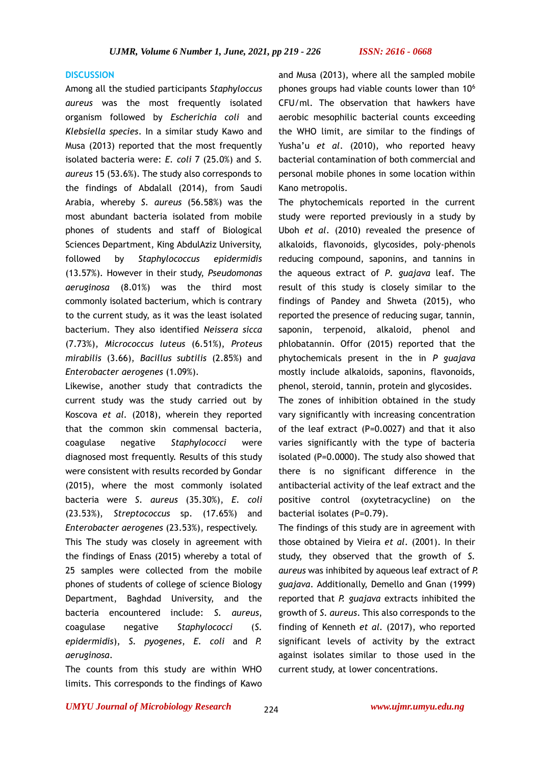## **DISCUSSION**

Among all the studied participants *Staphyloccus aureus* was the most frequently isolated organism followed by *Escherichia coli* and *Klebsiella species*. In a similar study Kawo and Musa (2013) reported that the most frequently isolated bacteria were: *E. coli* 7 (25.0%) and *S. aureus* 15 (53.6%). The study also corresponds to the findings of Abdalall (2014), from Saudi Arabia, whereby *S. aureus* (56.58%) was the most abundant bacteria isolated from mobile phones of students and staff of Biological Sciences Department, King AbdulAziz University, followed by *Staphylococcus epidermidis* (13.57%). However in their study, *Pseudomonas aeruginosa* (8.01%) was the third most commonly isolated bacterium, which is contrary to the current study, as it was the least isolated bacterium. They also identified *Neissera sicca* (7.73%), *Micrococcus luteus* (6.51%), *Proteus mirabilis* (3.66), *Bacillus subtilis* (2.85%) and *Enterobacter aerogenes* (1.09%).

Likewise, another study that contradicts the current study was the study carried out by Koscova *et al.* (2018), wherein they reported that the common skin commensal bacteria, coagulase negative *Staphylococci* were diagnosed most frequently. Results of this study were consistent with results recorded by Gondar (2015), where the most commonly isolated bacteria were *S. aureus* (35.30%), *E. coli* (23.53%), *Streptococcus* sp. (17.65%) and *Enterobacter aerogenes* (23.53%), respectively.

This The study was closely in agreement with the findings of Enass (2015) whereby a total of 25 samples were collected from the mobile phones of students of college of science Biology Department, Baghdad University, and the bacteria encountered include: *S. aureus*, coagulase negative *Staphylococci* (*S. epidermidis*), *S. pyogenes*, *E. coli* and *P. aeruginosa*.

The counts from this study are within WHO limits. This corresponds to the findings of Kawo

and Musa (2013), where all the sampled mobile phones groups had viable counts lower than 10<sup>6</sup> CFU/ml. The observation that hawkers have aerobic mesophilic bacterial counts exceeding the WHO limit, are similar to the findings of Yusha'u *et al*. (2010), who reported heavy bacterial contamination of both commercial and personal mobile phones in some location within Kano metropolis.

The phytochemicals reported in the current study were reported previously in a study by Uboh *et al*. (2010) revealed the presence of alkaloids, flavonoids, glycosides, poly-phenols reducing compound, saponins, and tannins in the aqueous extract of *P*. *guajava* leaf. The result of this study is closely similar to the findings of Pandey and Shweta (2015), who reported the presence of reducing sugar, tannin, saponin, terpenoid, alkaloid, phenol and phlobatannin. Offor (2015) reported that the phytochemicals present in the in *P guajava*  mostly include alkaloids, saponins, flavonoids, phenol, steroid, tannin, protein and glycosides.

The zones of inhibition obtained in the study vary significantly with increasing concentration of the leaf extract (P=0.0027) and that it also varies significantly with the type of bacteria isolated (P=0.0000). The study also showed that there is no significant difference in the antibacterial activity of the leaf extract and the positive control (oxytetracycline) on the bacterial isolates (P=0.79).

The findings of this study are in agreement with those obtained by Vieira *et al*. (2001). In their study, they observed that the growth of *S. aureus* was inhibited by aqueous leaf extract of *P. guajava*. Additionally, Demello and Gnan (1999) reported that *P. guajava* extracts inhibited the growth of *S. aureus*. This also corresponds to the finding of Kenneth *et al.* (2017), who reported significant levels of activity by the extract against isolates similar to those used in the current study, at lower concentrations.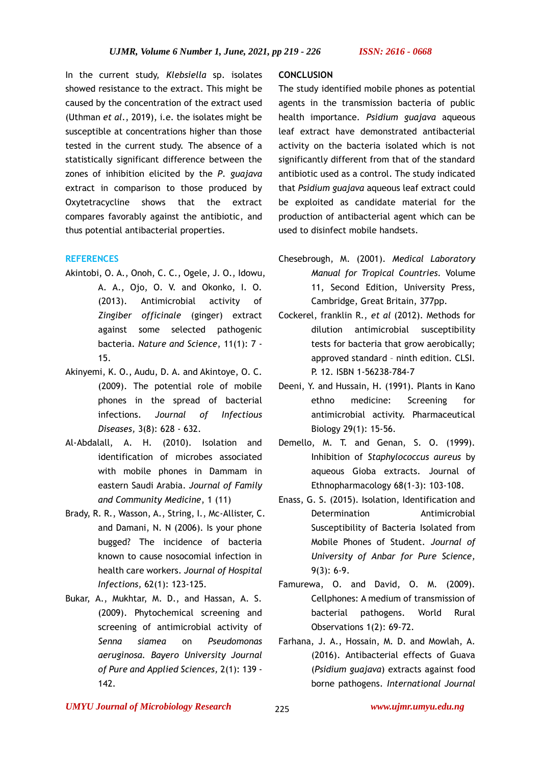In the current study, *Klebsiella* sp. isolates showed resistance to the extract. This might be caused by the concentration of the extract used (Uthman *et al*., 2019), i.e. the isolates might be susceptible at concentrations higher than those tested in the current study. The absence of a statistically significant difference between the zones of inhibition elicited by the *P*. *guajava* extract in comparison to those produced by Oxytetracycline shows that the extract compares favorably against the antibiotic, and thus potential antibacterial properties.

# **REFERENCES**

- Akintobi, O. A., Onoh, C. C., Ogele, J. O., Idowu, A. A., Ojo, O. V. and Okonko, I. O. (2013). Antimicrobial activity of *Zingiber officinale* (ginger) extract against some selected pathogenic bacteria. *Nature and Science*, 11(1): 7 - 15.
- Akinyemi, K. O., Audu, D. A. and Akintoye, O. C. (2009). The potential role of mobile phones in the spread of bacterial infections. *Journal of Infectious Diseases,* 3(8): 628 - 632.
- Al-Abdalall, A. H. (2010). Isolation and identification of microbes associated with mobile phones in Dammam in eastern Saudi Arabia. *Journal of Family and Community Medicine*, 1 (11)
- Brady, R. R., Wasson, A., String, I., Mc-Allister, C. and Damani, N. N (2006). Is your phone bugged? The incidence of bacteria known to cause nosocomial infection in health care workers. *Journal of Hospital Infections,* 62(1): 123-125.
- Bukar, A., Mukhtar, M. D., and Hassan, A. S. (2009). Phytochemical screening and screening of antimicrobial activity of *Senna siamea* on *Pseudomonas aeruginosa. Bayero University Journal of Pure and Applied Sciences,* 2(1): 139 - 142.

## **CONCLUSION**

The study identified mobile phones as potential agents in the transmission bacteria of public health importance. *Psidium guajava* aqueous leaf extract have demonstrated antibacterial activity on the bacteria isolated which is not significantly different from that of the standard antibiotic used as a control. The study indicated that *Psidium guajava* aqueous leaf extract could be exploited as candidate material for the production of antibacterial agent which can be used to disinfect mobile handsets.

- Chesebrough, M. (2001). *Medical Laboratory Manual for Tropical Countries.* Volume 11, Second Edition, University Press, Cambridge, Great Britain, 377pp.
- Cockerel, franklin R., *et al* (2012). Methods for dilution antimicrobial susceptibility tests for bacteria that grow aerobically; approved standard – ninth edition. CLSI. P. 12. ISBN 1-56238-784-7
- Deeni, Y. and Hussain, H. (1991). Plants in Kano ethno medicine: Screening for antimicrobial activity. Pharmaceutical Biology 29(1): 15-56.
- Demello, M. T. and Genan, S. O. (1999). Inhibition of *Staphylococcus aureus* by aqueous Gioba extracts. Journal of Ethnopharmacology 68(1-3): 103-108.
- Enass, G. S. (2015). Isolation, Identification and Determination **Antimicrobial** Susceptibility of Bacteria Isolated from Mobile Phones of Student. *Journal of University of Anbar for Pure Science,* 9(3): 6-9.
- Famurewa, O. and David, O. M. (2009). Cellphones: A medium of transmission of bacterial pathogens. World Rural Observations 1(2): 69-72.
- Farhana, J. A., Hossain, M. D. and Mowlah, A. (2016). Antibacterial effects of Guava (*Psidium guajava*) extracts against food borne pathogens. *International Journal*